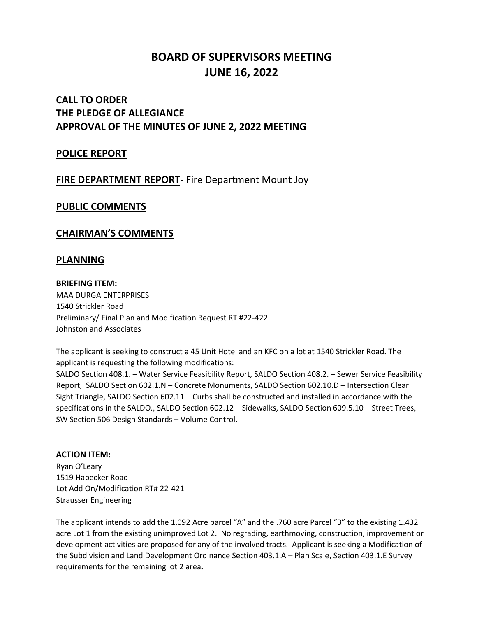# **BOARD OF SUPERVISORS MEETING JUNE 16, 2022**

## **CALL TO ORDER THE PLEDGE OF ALLEGIANCE APPROVAL OF THE MINUTES OF JUNE 2, 2022 MEETING**

### **POLICE REPORT**

### **FIRE DEPARTMENT REPORT-** Fire Department Mount Joy

### **PUBLIC COMMENTS**

### **CHAIRMAN'S COMMENTS**

### **PLANNING**

#### **BRIEFING ITEM:**

MAA DURGA ENTERPRISES 1540 Strickler Road Preliminary/ Final Plan and Modification Request RT #22-422 Johnston and Associates

The applicant is seeking to construct a 45 Unit Hotel and an KFC on a lot at 1540 Strickler Road. The applicant is requesting the following modifications: SALDO Section 408.1. – Water Service Feasibility Report, SALDO Section 408.2. – Sewer Service Feasibility Report, SALDO Section 602.1.N – Concrete Monuments, SALDO Section 602.10.D – Intersection Clear Sight Triangle, SALDO Section 602.11 – Curbs shall be constructed and installed in accordance with the specifications in the SALDO., SALDO Section 602.12 – Sidewalks, SALDO Section 609.5.10 – Street Trees, SW Section 506 Design Standards – Volume Control.

#### **ACTION ITEM:**

Ryan O'Leary 1519 Habecker Road Lot Add On/Modification RT# 22-421 Strausser Engineering

The applicant intends to add the 1.092 Acre parcel "A" and the .760 acre Parcel "B" to the existing 1.432 acre Lot 1 from the existing unimproved Lot 2. No regrading, earthmoving, construction, improvement or development activities are proposed for any of the involved tracts. Applicant is seeking a Modification of the Subdivision and Land Development Ordinance Section 403.1.A – Plan Scale, Section 403.1.E Survey requirements for the remaining lot 2 area.